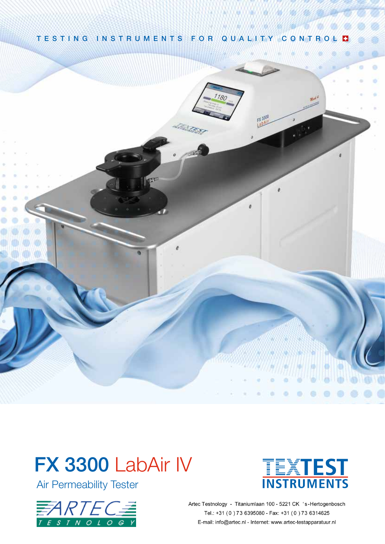

 $1R$ 



# FX 3300 LabAir IV

Air Permeability Tester





Artec Testnology - Titaniumlaan 100 - 5221 CK 's-Hertogenbosch Tel.: +31 (0) 73 6395080 - Fax: +31 (0) 73 6314625 E-mail: info@artec.nl - Internet: www.artec-testapparatuur.nl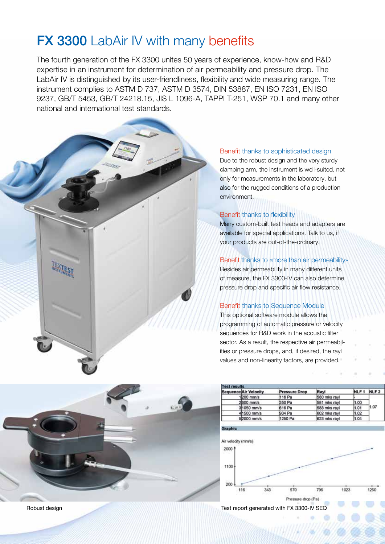# **FX 3300 LabAir IV with many benefits**

The fourth generation of the FX 3300 unites 50 years of experience, know-how and R&D expertise in an instrument for determination of air permeability and pressure drop. The LabAir IV is distinguished by its user-friendliness, flexibility and wide measuring range. The instrument complies to ASTM D 737, ASTM D 3574, DIN 53887, EN ISO 7231, EN ISO 9237, GB/T 5453, GB/T 24218.15, JIS L 1096-A, TAPPI T-251, WSP 70.1 and many other national and international test standards.

#### Benefit thanks to sophisticated design

Due to the robust design and the very sturdy clamping arm, the instrument is well-suited, not only for measurements in the laboratory, but also for the rugged conditions of a production environment.

#### Benefit thanks to flexibility

Many custom-built test heads and adapters are available for special applications. Talk to us, if your products are out-of-the-ordinary.

#### Benefit thanks to «more than air permeability»

Besides air permeability in many different units of measure, the FX 3300-IV can also determine pressure drop and specific air flow resistance.

#### Benefit thanks to Sequence Module

This optional software module allows the programming of automatic pressure or velocity sequences for R&D work in the acoustic filter sector. As a result, the respective air permeabilities or pressure drops, and, if desired, the rayl values and non-linearity factors, are provided.

| <b>Test results</b> |                              |                      |              |           |      |
|---------------------|------------------------------|----------------------|--------------|-----------|------|
|                     | <b>Sequence Air Velocity</b> | <b>Pressure Drop</b> | Rayl         | NLF1 NLF2 |      |
|                     | 1200 mm/s                    | 116 Pa               | 580 mks rayl |           |      |
|                     | 2/600 mm/s                   | 350 Pa               | 581 mks rayl | 1.00      |      |
|                     | 3/1050 mm/s                  | 616 Pa               | 588 mks rayl | 1.01      | 1.07 |
|                     | 41500 mm/s                   | 904 Pa               | 602 mks rayl | 1.02      |      |
|                     | 52000 mm/s                   | 1250 Pa              | 623 mks rayl | 1.04      |      |



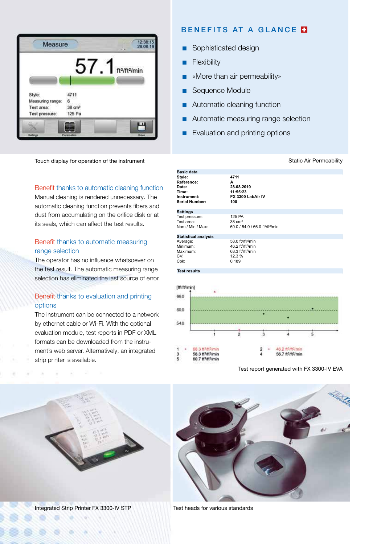

Touch display for operation of the instrument

#### Benefit thanks to automatic cleaning function

Manual cleaning is rendered unnecessary. The automatic cleaning function prevents fibers and dust from accumulating on the orifice disk or at its seals, which can affect the test results.

#### Benefit thanks to automatic measuring range selection

The operator has no influence whatsoever on the test result. The automatic measuring range selection has eliminated the last source of error.

#### Benefit thanks to evaluation and printing options

The instrument can be connected to a network by ethernet cable or Wi-Fi. With the optional evaluation module, test reports in PDF or XML formats can be downloaded from the instrument's web server. Alternatively, an integrated strip printer is available.

## BENEFITS AT A GLANCE **N**

- **n** Sophisticated design
- **n** Flexibility
- «More than air permeability»
- Sequence Module
- **n** Automatic cleaning function
- **n** Automatic measuring range selection
- **n** Evaluation and printing options

#### **Basic data Style: 4711 Reference: A Date: 28.08.2019 Time: 11:55:23 FX 3300 LabAir IV Instrument: Serial Number: 100 Settings** Test pressure: 125 PA Test area:  $38 \text{ cm}^2$ Nom / Min / Max: 60.0 / 54.0 / 66.0 ft<sup>3</sup>/ft<sup>2</sup>/min **Statistical analysis** Average: 58.0 ft<sup>3</sup>/ft<sup>2</sup>/min Minimum: 46.2 ft3 /ft2 /min Maximum: 68.3 ft<sup>3</sup>/ft<sup>2</sup>/min CV: 12.3 % Cpk: 0.189 **Test results** [ft9/ft9/min] 660 600 540  $\tilde{2}$  $\overline{\mathbf{3}}$ ś  $\overline{4}$ AR-3 #3/#3/min 46.2.63/63/min Ĥ,  $\overline{2}$ 58.3 ft<sup>3</sup>/ft<sup>2</sup>/min 56.7 ft3/ft2/min 3 ś 60.7 ft<sup>3</sup>/ft<sup>2</sup>/min

Test report generated with FX 3300-IV EVA



Integrated Strip Printer FX 3300-IV STP Test heads for various standards

#### **Static Air Permeability**